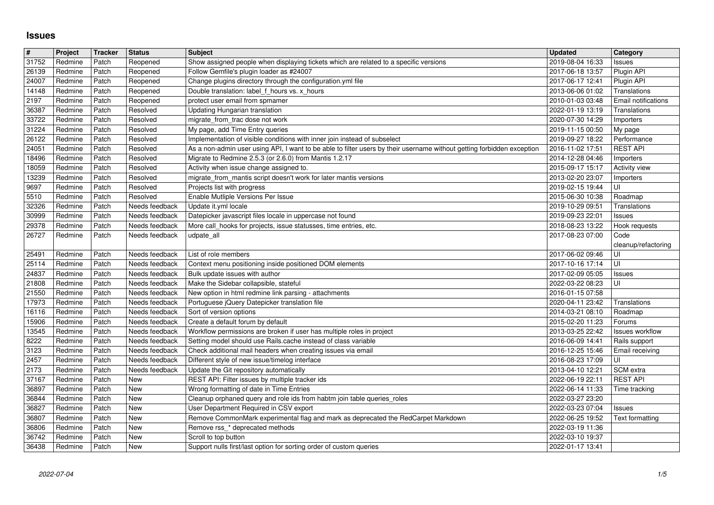## **Issues**

| $\#$             | Project            | <b>Tracker</b> | <b>Status</b>                    | <b>Subject</b>                                                                                                                                                                                      | <b>Updated</b>                       | Category                                   |
|------------------|--------------------|----------------|----------------------------------|-----------------------------------------------------------------------------------------------------------------------------------------------------------------------------------------------------|--------------------------------------|--------------------------------------------|
| $31752$<br>26139 | Redmine<br>Redmine | Patch<br>Patch | Reopened<br>Reopened             | Show assigned people when displaying tickets which are related to a specific versions<br>Follow Gemfile's plugin loader as #24007                                                                   | 2019-08-04 16:33<br>2017-06-18 13:57 | <b>Issues</b><br>Plugin API                |
| 24007            | Redmine            | Patch          | Reopened                         | Change plugins directory through the configuration.yml file                                                                                                                                         | 2017-06-17 12:41                     | Plugin API                                 |
| 14148            | Redmine            | Patch          | Reopened                         | Double translation: label f_hours vs. x_hours                                                                                                                                                       | 2013-06-06 01:02                     | Translations                               |
| 2197<br>36387    | Redmine<br>Redmine | Patch<br>Patch | Reopened<br>Resolved             | protect user email from spmamer<br>Updating Hungarian translation                                                                                                                                   | 2010-01-03 03:48<br>2022-01-19 13:19 | <b>Email notifications</b><br>Translations |
| 33722            | Redmine            | Patch          | Resolved                         | migrate_from_trac dose not work                                                                                                                                                                     | 2020-07-30 14:29                     | Importers                                  |
| 31224            | Redmine            | Patch          | Resolved                         | My page, add Time Entry queries                                                                                                                                                                     | 2019-11-15 00:50                     | My page                                    |
| 26122<br>24051   | Redmine<br>Redmine | Patch<br>Patch | Resolved<br>Resolved             | Implementation of visible conditions with inner join instead of subselect<br>As a non-admin user using API, I want to be able to filter users by their username without getting forbidden exception | 2019-09-27 18:22<br>2016-11-02 17:51 | Performance<br><b>REST API</b>             |
| 18496            | Redmine            | Patch          | Resolved                         | Migrate to Redmine 2.5.3 (or 2.6.0) from Mantis 1.2.17                                                                                                                                              | 2014-12-28 04:46                     | Importers                                  |
| 18059            | Redmine            | Patch          | Resolved                         | Activity when issue change assigned to.                                                                                                                                                             | 2015-09-17 15:17                     | <b>Activity view</b>                       |
| 13239<br>9697    | Redmine<br>Redmine | Patch<br>Patch | Resolved<br>Resolved             | migrate_from_mantis script doesn't work for later mantis versions<br>Projects list with progress                                                                                                    | 2013-02-20 23:07<br>2019-02-15 19:44 | Importers<br>UI                            |
| 5510             | Redmine            | Patch          | Resolved                         | Enable Mutliple Versions Per Issue                                                                                                                                                                  | 2015-06-30 10:38                     | Roadmap                                    |
| 32326            | Redmine            | Patch          | Needs feedback                   | Update it.yml locale                                                                                                                                                                                | 2019-10-29 09:51                     | Translations                               |
| 30999<br>29378   | Redmine<br>Redmine | Patch<br>Patch | Needs feedback<br>Needs feedback | Datepicker javascript files locale in uppercase not found<br>More call_hooks for projects, issue statusses, time entries, etc.                                                                      | 2019-09-23 22:01<br>2018-08-23 13:22 | Issues<br>Hook requests                    |
| 26727            | Redmine            | Patch          | Needs feedback                   | udpate_all                                                                                                                                                                                          | 2017-08-23 07:00                     | Code                                       |
|                  |                    |                |                                  |                                                                                                                                                                                                     |                                      | cleanup/refactoring                        |
| 25491<br>25114   | Redmine<br>Redmine | Patch<br>Patch | Needs feedback<br>Needs feedback | List of role members<br>Context menu positioning inside positioned DOM elements                                                                                                                     | 2017-06-02 09:46<br>2017-10-16 17:14 | UI<br>UI                                   |
| 24837            | Redmine            | Patch          | Needs feedback                   | Bulk update issues with author                                                                                                                                                                      | 2017-02-09 05:05                     | <b>Issues</b>                              |
| 21808            | Redmine            | Patch          | Needs feedback                   | Make the Sidebar collapsible, stateful                                                                                                                                                              | 2022-03-22 08:23                     | UI                                         |
| 21550<br>17973   | Redmine<br>Redmine | Patch<br>Patch | Needs feedback<br>Needs feedback | New option in html redmine link parsing - attachments<br>Portuguese jQuery Datepicker translation file                                                                                              | 2016-01-15 07:58<br>2020-04-11 23:42 | Translations                               |
| 16116            | Redmine            | Patch          | Needs feedback                   | Sort of version options                                                                                                                                                                             | 2014-03-21 08:10                     | Roadmap                                    |
| 15906            | Redmine            | Patch          | Needs feedback                   | Create a default forum by default                                                                                                                                                                   | 2015-02-20 11:23                     | Forums                                     |
| 13545<br>8222    | Redmine<br>Redmine | Patch<br>Patch | Needs feedback<br>Needs feedback | Workflow permissions are broken if user has multiple roles in project<br>Setting model should use Rails.cache instead of class variable                                                             | 2013-03-25 22:42<br>2016-06-09 14:41 | <b>Issues workflow</b><br>Rails support    |
| 3123             | Redmine            | Patch          | Needs feedback                   | Check additional mail headers when creating issues via email                                                                                                                                        | 2016-12-25 15:46                     | Email receiving                            |
| 2457             | Redmine            | Patch          | Needs feedback                   | Different style of new issue/timelog interface                                                                                                                                                      | 2016-08-23 17:09                     | UI                                         |
| 2173             | Redmine            | Patch          | Needs feedback                   | Update the Git repository automatically<br>REST API: Filter issues by multiple tracker ids                                                                                                          | 2013-04-10 12:21                     | SCM extra<br><b>REST API</b>               |
| 37167<br>36897   | Redmine<br>Redmine | Patch<br>Patch | New<br>New                       | Wrong formatting of date in Time Entries                                                                                                                                                            | 2022-06-19 22:11<br>2022-06-14 11:33 | Time tracking                              |
| 36844            | Redmine            | Patch          | New                              | Cleanup orphaned query and role ids from habtm join table queries_roles                                                                                                                             | 2022-03-27 23:20                     |                                            |
| 36827            | Redmine            | Patch          | New                              | User Department Required in CSV export                                                                                                                                                              | 2022-03-23 07:04                     | <b>Issues</b>                              |
| 36807<br>36806   | Redmine<br>Redmine | Patch<br>Patch | New<br>New                       | Remove CommonMark experimental flag and mark as deprecated the RedCarpet Markdown<br>Remove rss_* deprecated methods                                                                                | 2022-06-25 19:52<br>2022-03-19 11:36 | Text formatting                            |
| 36742            | Redmine            | Patch          | New                              | Scroll to top button<br>Support nulls first/last option for sorting order of custom queries                                                                                                         | 2022-03-10 19:37<br>2022-01-17 13:41 |                                            |
| 36438            |                    | Patch          | New                              |                                                                                                                                                                                                     |                                      |                                            |
|                  |                    |                |                                  |                                                                                                                                                                                                     |                                      |                                            |
|                  |                    |                |                                  |                                                                                                                                                                                                     |                                      |                                            |
|                  |                    |                |                                  |                                                                                                                                                                                                     |                                      |                                            |
|                  |                    |                |                                  |                                                                                                                                                                                                     |                                      |                                            |
|                  |                    |                |                                  |                                                                                                                                                                                                     |                                      |                                            |
|                  |                    |                |                                  |                                                                                                                                                                                                     |                                      |                                            |
|                  |                    |                |                                  |                                                                                                                                                                                                     |                                      |                                            |
|                  |                    |                |                                  |                                                                                                                                                                                                     |                                      |                                            |
|                  |                    |                |                                  |                                                                                                                                                                                                     |                                      |                                            |
|                  |                    |                |                                  |                                                                                                                                                                                                     |                                      |                                            |
|                  |                    |                |                                  |                                                                                                                                                                                                     |                                      |                                            |
|                  |                    |                |                                  |                                                                                                                                                                                                     |                                      |                                            |
|                  |                    |                |                                  |                                                                                                                                                                                                     |                                      |                                            |
|                  |                    |                |                                  |                                                                                                                                                                                                     |                                      |                                            |
|                  |                    |                |                                  |                                                                                                                                                                                                     |                                      |                                            |
|                  |                    |                |                                  |                                                                                                                                                                                                     |                                      |                                            |
|                  |                    |                |                                  |                                                                                                                                                                                                     |                                      |                                            |
|                  |                    |                |                                  |                                                                                                                                                                                                     |                                      |                                            |
|                  |                    |                |                                  |                                                                                                                                                                                                     |                                      |                                            |
|                  |                    |                |                                  |                                                                                                                                                                                                     |                                      |                                            |
|                  |                    |                |                                  |                                                                                                                                                                                                     |                                      |                                            |
|                  |                    |                |                                  |                                                                                                                                                                                                     |                                      |                                            |
|                  |                    |                |                                  |                                                                                                                                                                                                     |                                      |                                            |
|                  |                    |                |                                  |                                                                                                                                                                                                     |                                      |                                            |
|                  |                    |                |                                  |                                                                                                                                                                                                     |                                      |                                            |
|                  |                    |                |                                  |                                                                                                                                                                                                     |                                      |                                            |
|                  |                    |                |                                  |                                                                                                                                                                                                     |                                      |                                            |
|                  |                    |                |                                  |                                                                                                                                                                                                     |                                      |                                            |
|                  |                    |                |                                  |                                                                                                                                                                                                     |                                      |                                            |
|                  |                    |                |                                  |                                                                                                                                                                                                     |                                      |                                            |
|                  |                    |                |                                  |                                                                                                                                                                                                     |                                      |                                            |
|                  |                    |                |                                  |                                                                                                                                                                                                     |                                      |                                            |
|                  |                    |                |                                  |                                                                                                                                                                                                     |                                      |                                            |
|                  |                    |                |                                  |                                                                                                                                                                                                     |                                      |                                            |
|                  |                    |                |                                  |                                                                                                                                                                                                     |                                      |                                            |
|                  |                    |                |                                  |                                                                                                                                                                                                     |                                      |                                            |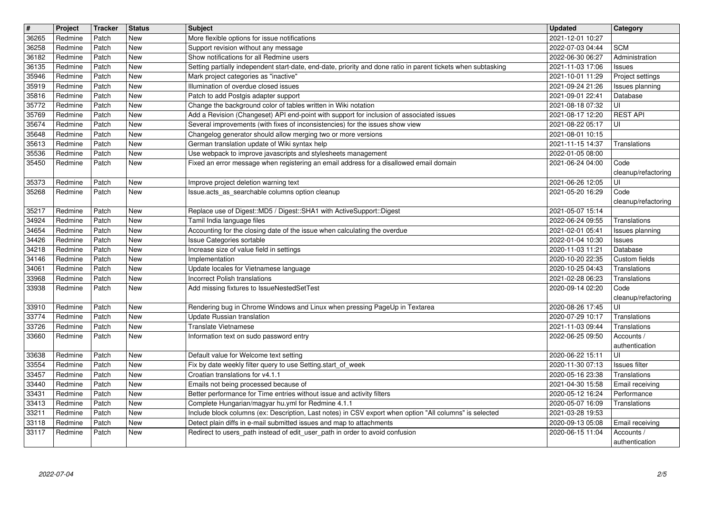| $\overline{\boldsymbol{H}}$ | Project            | <b>Tracker</b> | <b>Status</b> | Subject                                                                                                                                                                         | <b>Updated</b>                       | Category                          |
|-----------------------------|--------------------|----------------|---------------|---------------------------------------------------------------------------------------------------------------------------------------------------------------------------------|--------------------------------------|-----------------------------------|
| 36265<br>36258              | Redmine<br>Redmine | Patch<br>Patch | New<br>New    | More flexible options for issue notifications<br>Support revision without any message                                                                                           | 2021-12-01 10:27<br>2022-07-03 04:44 | <b>SCM</b>                        |
| 36182                       | Redmine            | Patch          | New           | Show notifications for all Redmine users                                                                                                                                        | 2022-06-30 06:27                     | Administration                    |
| 36135<br>35946              | Redmine<br>Redmine | Patch<br>Patch | New<br>New    | Setting partially independent start-date, end-date, priority and done ratio in parent tickets when subtasking<br>Mark project categories as "inactive"                          | 2021-11-03 17:06<br>2021-10-01 11:29 | <b>Issues</b><br>Project settings |
| 35919                       | Redmine            | Patch          | New           | Illumination of overdue closed issues                                                                                                                                           | 2021-09-24 21:26                     | Issues planning                   |
| 35816<br>35772              | Redmine<br>Redmine | Patch<br>Patch | New<br>New    | Patch to add Postgis adapter support<br>Change the background color of tables written in Wiki notation                                                                          | 2021-09-01 22:41<br>2021-08-18 07:32 | Database<br>UI                    |
| 35769                       | Redmine            | Patch          | New           | Add a Revision (Changeset) API end-point with support for inclusion of associated issues                                                                                        | 2021-08-17 12:20                     | <b>REST API</b>                   |
| 35674<br>35648              | Redmine<br>Redmine | Patch<br>Patch | New<br>New    | Several improvements (with fixes of inconsistencies) for the issues show view<br>Changelog generator should allow merging two or more versions                                  | 2021-08-22 05:17<br>2021-08-01 10:15 | l UI                              |
| 35613                       | Redmine            | Patch          | New           | German translation update of Wiki syntax help                                                                                                                                   | 2021-11-15 14:37                     | Translations                      |
| 35536<br>35450              | Redmine<br>Redmine | Patch<br>Patch | New<br>New    | Use webpack to improve javascripts and stylesheets management<br>Fixed an error message when registering an email address for a disallowed email domain                         | 2022-01-05 08:00<br>2021-06-24 04:00 | Code                              |
|                             |                    |                |               |                                                                                                                                                                                 |                                      | cleanup/refactoring               |
| 35373<br>35268              | Redmine<br>Redmine | Patch<br>Patch | New<br>New    | Improve project deletion warning text<br>Issue.acts_as_searchable columns option cleanup                                                                                        | 2021-06-26 12:05<br>2021-05-20 16:29 | UI<br>Code                        |
|                             |                    |                |               |                                                                                                                                                                                 |                                      | cleanup/refactoring               |
| 35217<br>34924              | Redmine<br>Redmine | Patch<br>Patch | New<br>New    | Replace use of Digest:: MD5 / Digest:: SHA1 with ActiveSupport:: Digest<br>Tamil India language files                                                                           | 2021-05-07 15:14<br>2022-06-24 09:55 | Translations                      |
| 34654                       | Redmine            | Patch          | New           | Accounting for the closing date of the issue when calculating the overdue                                                                                                       | 2021-02-01 05:41                     | Issues planning                   |
| 34426<br>34218              | Redmine<br>Redmine | Patch<br>Patch | New<br>New    | Issue Categories sortable<br>Increase size of value field in settings                                                                                                           | 2022-01-04 10:30<br>2020-11-03 11:21 | Issues<br>Database                |
| 34146                       | Redmine            | Patch          | New           | Implementation                                                                                                                                                                  | 2020-10-20 22:35                     | Custom fields                     |
| 34061<br>33968              | Redmine<br>Redmine | Patch<br>Patch | New<br>New    | Update locales for Vietnamese language<br><b>Incorrect Polish translations</b>                                                                                                  | 2020-10-25 04:43<br>2021-02-28 06:23 | Translations<br>Translations      |
| 33938                       | Redmine            | Patch          | New           | Add missing fixtures to IssueNestedSetTest                                                                                                                                      | 2020-09-14 02:20                     | Code                              |
| 33910                       | Redmine            | Patch          | New           | Rendering bug in Chrome Windows and Linux when pressing PageUp in Textarea                                                                                                      | 2020-08-26 17:45                     | cleanup/refactoring<br>UI         |
| 33774                       | Redmine            | Patch          | New           | Update Russian translation                                                                                                                                                      | 2020-07-29 10:17                     | Translations                      |
| 33726<br>33660              | Redmine<br>Redmine | Patch<br>Patch | New<br>New    | <b>Translate Vietnamese</b><br>Information text on sudo password entry                                                                                                          | 2021-11-03 09:44<br>2022-06-25 09:50 | Translations<br>Accounts /        |
|                             |                    |                |               |                                                                                                                                                                                 |                                      | authentication                    |
| 33638<br>33554              | Redmine<br>Redmine | Patch<br>Patch | New<br>New    | Default value for Welcome text setting<br>Fix by date weekly filter query to use Setting.start_of_week                                                                          | 2020-06-22 15:11<br>2020-11-30 07:13 | UI<br>Issues filter               |
| 33457                       | Redmine            | Patch          | New           | Croatian translations for v4.1.1                                                                                                                                                | 2020-05-16 23:38                     | Translations                      |
| 33440<br>33431              | Redmine<br>Redmine | Patch<br>Patch | New<br>New    | Emails not being processed because of<br>Better performance for Time entries without issue and activity filters                                                                 | 2021-04-30 15:58<br>2020-05-12 16:24 | Email receiving<br>Performance    |
| 33413                       | Redmine            | Patch          | New           | Complete Hungarian/magyar hu.yml for Redmine 4.1.1                                                                                                                              | 2020-05-07 16:09                     | Translations                      |
| 33211<br>33118              | Redmine<br>Redmine | Patch<br>Patch | New<br>New    | Include block columns (ex: Description, Last notes) in CSV export when option "All columns" is selected<br>Detect plain diffs in e-mail submitted issues and map to attachments | 2021-03-28 19:53<br>2020-09-13 05:08 | Email receiving                   |
| 33117                       | Redmine            | Patch          | New           | Redirect to users_path instead of edit_user_path in order to avoid confusion                                                                                                    | 2020-06-15 11:04                     | Accounts /<br>authentication      |
|                             |                    |                |               |                                                                                                                                                                                 |                                      |                                   |
|                             |                    |                |               |                                                                                                                                                                                 |                                      |                                   |
|                             |                    |                |               |                                                                                                                                                                                 |                                      |                                   |
|                             |                    |                |               |                                                                                                                                                                                 |                                      |                                   |
|                             |                    |                |               |                                                                                                                                                                                 |                                      |                                   |
|                             |                    |                |               |                                                                                                                                                                                 |                                      |                                   |
|                             |                    |                |               |                                                                                                                                                                                 |                                      |                                   |
|                             |                    |                |               |                                                                                                                                                                                 |                                      |                                   |
|                             |                    |                |               |                                                                                                                                                                                 |                                      |                                   |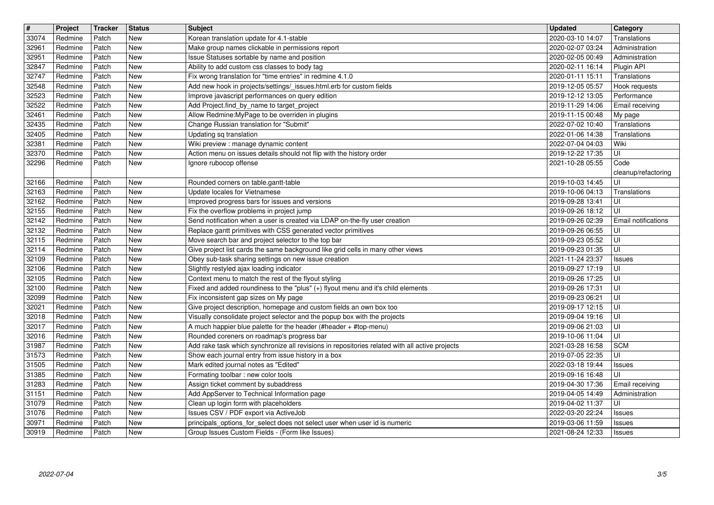| $\boxed{\textcolor{blue}{\#}}$ | Project<br>Redmine | Tracker<br>Patch | <b>Status</b><br>New | <b>Subject</b><br>Korean translation update for 4.1-stable                                                                                  | <b>Updated</b><br>2020-03-10 14:07   | Category<br>Translations                            |
|--------------------------------|--------------------|------------------|----------------------|---------------------------------------------------------------------------------------------------------------------------------------------|--------------------------------------|-----------------------------------------------------|
| 33074<br>32961                 | Redmine            | Patch            | New                  | Make group names clickable in permissions report                                                                                            | 2020-02-07 03:24                     | Administration                                      |
| 32951<br>32847                 | Redmine<br>Redmine | Patch<br>Patch   | New<br>New           | Issue Statuses sortable by name and position<br>Ability to add custom css classes to body tag                                               | 2020-02-05 00:49<br>2020-02-11 16:14 | Administration<br>Plugin API                        |
| 32747                          | Redmine            | Patch            | New                  | Fix wrong translation for "time entries" in redmine 4.1.0                                                                                   | 2020-01-11 15:11                     | Translations                                        |
| 32548<br>32523                 | Redmine<br>Redmine | Patch<br>Patch   | New<br>New           | Add new hook in projects/settings/_issues.html.erb for custom fields<br>Improve javascript performances on query edition                    | 2019-12-05 05:57<br>2019-12-12 13:05 | Hook requests<br>Performance                        |
| 32522                          | Redmine            | Patch            | New                  | Add Project.find_by_name to target_project                                                                                                  | 2019-11-29 14:06                     | Email receiving                                     |
| 32461<br>32435                 | Redmine<br>Redmine | Patch<br>Patch   | New<br>New           | Allow Redmine: My Page to be overriden in plugins<br>Change Russian translation for "Submit"                                                | 2019-11-15 00:48<br>2022-07-02 10:40 | My page<br>Translations                             |
| 32405                          | Redmine            | Patch            | New                  | Updating sq translation                                                                                                                     | 2022-01-06 14:38                     | Translations                                        |
| 32381<br>32370                 | Redmine<br>Redmine | Patch<br>Patch   | New<br>New           | Wiki preview : manage dynamic content<br>Action menu on issues details should not flip with the history order                               | 2022-07-04 04:03<br>2019-12-22 17:35 | Wiki<br>UI                                          |
| 32296                          | Redmine            | Patch            | New                  | Ignore rubocop offense                                                                                                                      | 2021-10-28 05:55                     | Code<br>cleanup/refactoring                         |
| 32166                          | Redmine            | Patch            | New                  | Rounded corners on table.gantt-table                                                                                                        | 2019-10-03 14:45                     | UI                                                  |
| 32163<br>32162                 | Redmine<br>Redmine | Patch<br>Patch   | New<br>New           | Update locales for Vietnamese<br>Improved progress bars for issues and versions                                                             | 2019-10-06 04:13<br>2019-09-28 13:41 | Translations<br>UI                                  |
| 32155                          | Redmine            | Patch            | New                  | Fix the overflow problems in project jump                                                                                                   | 2019-09-26 18:12                     | UI                                                  |
| 32142<br>32132                 | Redmine<br>Redmine | Patch<br>Patch   | New<br>New           | Send notification when a user is created via LDAP on-the-fly user creation<br>Replace gantt primitives with CSS generated vector primitives | 2019-09-26 02:39<br>2019-09-26 06:55 | <b>Email notifications</b><br>UI                    |
| 32115                          | Redmine            | Patch            | New                  | Move search bar and project selector to the top bar                                                                                         | 2019-09-23 05:52                     | UI                                                  |
| 32114<br>32109                 | Redmine<br>Redmine | Patch<br>Patch   | New<br>New           | Give project list cards the same background like grid cells in many other views<br>Obey sub-task sharing settings on new issue creation     | 2019-09-23 01:35<br>2021-11-24 23:37 | UI<br><b>Issues</b>                                 |
| 32106                          | Redmine            | Patch            | New<br>New           | Slightly restyled ajax loading indicator<br>Context menu to match the rest of the flyout styling                                            | 2019-09-27 17:19                     | UI<br>UI                                            |
| 32105<br>32100                 | Redmine<br>Redmine | Patch<br>Patch   | New                  | Fixed and added roundiness to the "plus" (+) flyout menu and it's child elements                                                            | 2019-09-26 17:25<br>2019-09-26 17:31 | UI                                                  |
| 32099<br>32021                 | Redmine<br>Redmine | Patch<br>Patch   | <b>New</b><br>New    | Fix inconsistent gap sizes on My page<br>Give project description, homepage and custom fields an own box too                                | 2019-09-23 06:21<br>2019-09-17 12:15 | UI<br>UI                                            |
| 32018                          | Redmine            | Patch            | New                  | Visually consolidate project selector and the popup box with the projects                                                                   | 2019-09-04 19:16                     | UI                                                  |
| 32017<br>32016                 | Redmine<br>Redmine | Patch<br>Patch   | New<br>New           | A much happier blue palette for the header (#header + #top-menu)<br>Rounded coreners on roadmap's progress bar                              | 2019-09-06 21:03<br>2019-10-06 11:04 | UI<br>UI                                            |
| 31987                          | Redmine            | Patch            | New                  | Add rake task which synchronize all revisions in repositories related with all active projects                                              | 2021-03-28 16:58                     | <b>SCM</b>                                          |
| 31573<br>31505                 | Redmine<br>Redmine | Patch<br>Patch   | New<br>New           | Show each journal entry from issue history in a box<br>Mark edited journal notes as "Edited"                                                | 2019-07-05 22:35<br>2022-03-18 19:44 | UI<br>Issues                                        |
| 31385                          | Redmine            | Patch            | New                  | Formating toolbar : new color tools                                                                                                         | 2019-09-16 16:48                     | UI                                                  |
| 31283<br>31151                 | Redmine<br>Redmine | Patch<br>Patch   | New<br>New           | Assign ticket comment by subaddress<br>Add AppServer to Technical Information page                                                          | 2019-04-30 17:36<br>2019-04-05 14:49 | Email receiving<br>Administration                   |
| 31079<br>31076                 | Redmine<br>Redmine | Patch<br>Patch   | New<br>New           | Clean up login form with placeholders<br>Issues CSV / PDF export via ActiveJob                                                              | 2019-04-02 11:37<br>2022-03-20 22:24 | $\overline{\overline{\mathsf{u}}}$<br><b>Issues</b> |
| 30971<br>30919                 | Redmine<br>Redmine | Patch<br>Patch   | New<br><b>New</b>    | principals_options_for_select does not select user when user id is numeric<br>Group Issues Custom Fields - (Form like Issues)               | 2019-03-06 11:59<br>2021-08-24 12:33 | <b>Issues</b>                                       |
|                                |                    |                  |                      |                                                                                                                                             |                                      |                                                     |
|                                |                    |                  |                      |                                                                                                                                             |                                      |                                                     |
|                                |                    |                  |                      |                                                                                                                                             |                                      |                                                     |
|                                |                    |                  |                      |                                                                                                                                             |                                      |                                                     |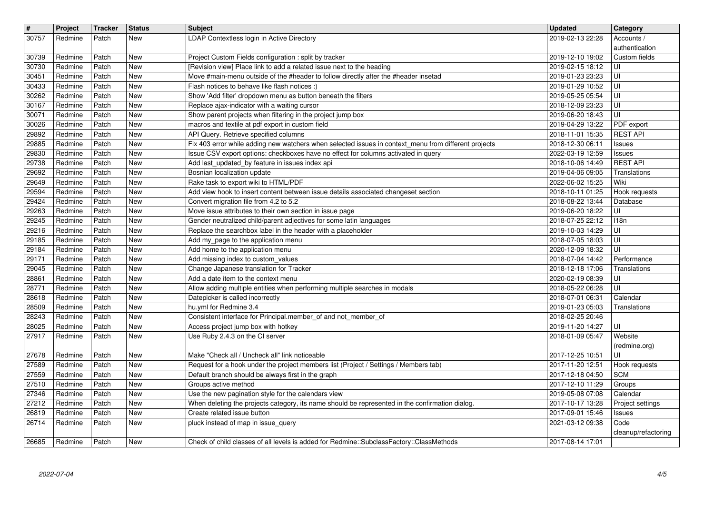| $\sqrt{\frac{4}{15}}$<br>30757 | Project<br>Redmine | <b>Tracker</b><br>Patch | <b>Status</b><br>New     | <b>Subject</b><br>LDAP Contextless login in Active Directory                                                                                                                               | <b>Updated</b><br>2019-02-13 22:28   | Category<br>Accounts /            |
|--------------------------------|--------------------|-------------------------|--------------------------|--------------------------------------------------------------------------------------------------------------------------------------------------------------------------------------------|--------------------------------------|-----------------------------------|
| 30739                          | Redmine            | Patch                   | New                      | Project Custom Fields configuration : split by tracker                                                                                                                                     | 2019-12-10 19:02                     | authentication<br>Custom fields   |
| 30730<br>30451                 | Redmine<br>Redmine | Patch<br>Patch          | <b>New</b><br>New        | [Revision view] Place link to add a related issue next to the heading<br>Move #main-menu outside of the #header to follow directly after the #header insetad                               | 2019-02-15 18:12<br>2019-01-23 23:23 | ΙUΙ<br>ΙUΙ                        |
| 30433                          | Redmine            | Patch                   | <b>New</b>               | Flash notices to behave like flash notices :)                                                                                                                                              | 2019-01-29 10:52                     | UI                                |
| 30262<br>30167                 | Redmine<br>Redmine | Patch<br>Patch          | New<br><b>New</b>        | Show 'Add filter' dropdown menu as button beneath the filters<br>Replace ajax-indicator with a waiting cursor                                                                              | 2019-05-25 05:54<br>2018-12-09 23:23 | ΙUΙ<br>UI                         |
| 30071                          | Redmine            | Patch                   | <b>New</b>               | Show parent projects when filtering in the project jump box                                                                                                                                | 2019-06-20 18:43                     | UI                                |
| 30026<br>29892                 | Redmine<br>Redmine | Patch<br>Patch          | <b>New</b><br><b>New</b> | macros and textile at pdf export in custom field<br>API Query. Retrieve specified columns                                                                                                  | 2019-04-29 13:22<br>2018-11-01 15:35 | PDF export<br><b>REST API</b>     |
| 29885<br>29830                 | Redmine<br>Redmine | Patch<br>Patch          | New<br><b>New</b>        | Fix 403 error while adding new watchers when selected issues in context_menu from different projects<br>Issue CSV export options: checkboxes have no effect for columns activated in query | 2018-12-30 06:11<br>2022-03-19 12:59 | <b>Issues</b><br><b>Issues</b>    |
| 29738                          | Redmine            | Patch                   | <b>New</b>               | Add last_updated_by feature in issues index api                                                                                                                                            | 2018-10-06 14:49                     | <b>REST API</b>                   |
| 29692<br>29649                 | Redmine<br>Redmine | Patch<br>Patch          | <b>New</b><br>New        | Bosnian localization update<br>Rake task to export wiki to HTML/PDF                                                                                                                        | 2019-04-06 09:05<br>2022-06-02 15:25 | Translations<br>Wiki              |
| 29594                          | Redmine            | Patch                   | New                      | Add view hook to insert content between issue details associated changeset section                                                                                                         | 2018-10-11 01:25                     | Hook requests                     |
| 29424<br>29263                 | Redmine<br>Redmine | Patch<br>Patch          | <b>New</b><br><b>New</b> | Convert migration file from 4.2 to 5.2<br>Move issue attributes to their own section in issue page                                                                                         | 2018-08-22 13:44<br>2019-06-20 18:22 | Database<br>UI                    |
| 29245                          | Redmine            | Patch                   | <b>New</b>               | Gender neutralized child/parent adjectives for some latin languages                                                                                                                        | 2018-07-25 22:12                     | 118n                              |
| 29216<br>29185                 | Redmine<br>Redmine | Patch<br>Patch          | New<br><b>New</b>        | Replace the searchbox label in the header with a placeholder<br>Add my_page to the application menu                                                                                        | 2019-10-03 14:29<br>2018-07-05 18:03 | UI<br>UI                          |
| 29184                          | Redmine            | Patch                   | <b>New</b>               | Add home to the application menu                                                                                                                                                           | 2020-12-09 18:32                     | UI                                |
| 29171<br>29045                 | Redmine<br>Redmine | Patch<br>Patch          | <b>New</b><br>New        | Add missing index to custom_values<br>Change Japanese translation for Tracker                                                                                                              | 2018-07-04 14:42<br>2018-12-18 17:06 | Performance<br>Translations       |
| 28861                          | Redmine            | Patch                   | <b>New</b>               | Add a date item to the context menu                                                                                                                                                        | 2020-02-19 08:39                     | UI                                |
| 28771<br>28618                 | Redmine<br>Redmine | Patch<br>Patch          | <b>New</b><br><b>New</b> | Allow adding multiple entities when performing multiple searches in modals<br>Datepicker is called incorrectly                                                                             | 2018-05-22 06:28<br>2018-07-01 06:31 | UI<br>Calendar                    |
| 28509                          | Redmine            | Patch                   | <b>New</b>               | hu.yml for Redmine 3.4                                                                                                                                                                     | 2019-01-23 05:03                     | Translations                      |
| 28243<br>28025                 | Redmine<br>Redmine | Patch<br>Patch          | <b>New</b><br><b>New</b> | Consistent interface for Principal.member_of and not_member_of<br>Access project jump box with hotkey                                                                                      | 2018-02-25 20:46<br>2019-11-20 14:27 | UI                                |
| 27917                          | Redmine            | Patch                   | New                      | Use Ruby 2.4.3 on the CI server                                                                                                                                                            | 2018-01-09 05:47                     | Website                           |
| 27678                          | Redmine            | Patch                   | <b>New</b>               | Make "Check all / Uncheck all" link noticeable                                                                                                                                             | 2017-12-25 10:51                     | (redmine.org)<br>ΙUΙ              |
| 27589                          | Redmine            | Patch                   | New                      | Request for a hook under the project members list (Project / Settings / Members tab)                                                                                                       | 2017-11-20 12:51                     | Hook requests                     |
| 27559<br>27510                 | Redmine<br>Redmine | Patch<br>Patch          | <b>New</b><br><b>New</b> | Default branch should be always first in the graph<br>Groups active method                                                                                                                 | 2017-12-18 04:50<br>2017-12-10 11:29 | <b>SCM</b><br>Groups              |
| 27346                          | Redmine            | Patch                   | <b>New</b>               | Use the new pagination style for the calendars view                                                                                                                                        | 2019-05-08 07:08                     | Calendar                          |
| 27212<br>26819                 | Redmine<br>Redmine | Patch<br>Patch          | New<br><b>New</b>        | When deleting the projects category, its name should be represented in the confirmation dialog.<br>Create related issue button                                                             | 2017-10-17 13:28<br>2017-09-01 15:46 | Project settings<br><b>Issues</b> |
| 26714                          | Redmine            | Patch                   | New                      | pluck instead of map in issue_query                                                                                                                                                        | 2021-03-12 09:38                     | Code                              |
| 26685                          | Redmine            | Patch                   | <b>New</b>               | Check of child classes of all levels is added for Redmine::SubclassFactory::ClassMethods                                                                                                   | 2017-08-14 17:01                     | cleanup/refactoring               |
|                                |                    |                         |                          |                                                                                                                                                                                            |                                      |                                   |
|                                |                    |                         |                          |                                                                                                                                                                                            |                                      |                                   |
|                                |                    |                         |                          |                                                                                                                                                                                            |                                      |                                   |
|                                |                    |                         |                          |                                                                                                                                                                                            |                                      |                                   |
|                                |                    |                         |                          |                                                                                                                                                                                            |                                      |                                   |
|                                |                    |                         |                          |                                                                                                                                                                                            |                                      |                                   |
|                                |                    |                         |                          |                                                                                                                                                                                            |                                      |                                   |
|                                |                    |                         |                          |                                                                                                                                                                                            |                                      |                                   |
|                                |                    |                         |                          |                                                                                                                                                                                            |                                      |                                   |
|                                |                    |                         |                          |                                                                                                                                                                                            |                                      |                                   |
|                                |                    |                         |                          |                                                                                                                                                                                            |                                      |                                   |
|                                |                    |                         |                          |                                                                                                                                                                                            |                                      |                                   |
|                                |                    |                         |                          |                                                                                                                                                                                            |                                      |                                   |
|                                |                    |                         |                          |                                                                                                                                                                                            |                                      |                                   |
|                                |                    |                         |                          |                                                                                                                                                                                            |                                      |                                   |
|                                |                    |                         |                          |                                                                                                                                                                                            |                                      |                                   |
|                                |                    |                         |                          |                                                                                                                                                                                            |                                      |                                   |
|                                |                    |                         |                          |                                                                                                                                                                                            |                                      |                                   |
|                                |                    |                         |                          |                                                                                                                                                                                            |                                      |                                   |
|                                |                    |                         |                          |                                                                                                                                                                                            |                                      |                                   |
|                                |                    |                         |                          |                                                                                                                                                                                            |                                      |                                   |
|                                |                    |                         |                          |                                                                                                                                                                                            |                                      |                                   |
|                                |                    |                         |                          |                                                                                                                                                                                            |                                      |                                   |
|                                |                    |                         |                          |                                                                                                                                                                                            |                                      |                                   |
|                                |                    |                         |                          |                                                                                                                                                                                            |                                      |                                   |
|                                |                    |                         |                          |                                                                                                                                                                                            |                                      |                                   |
|                                |                    |                         |                          |                                                                                                                                                                                            |                                      |                                   |